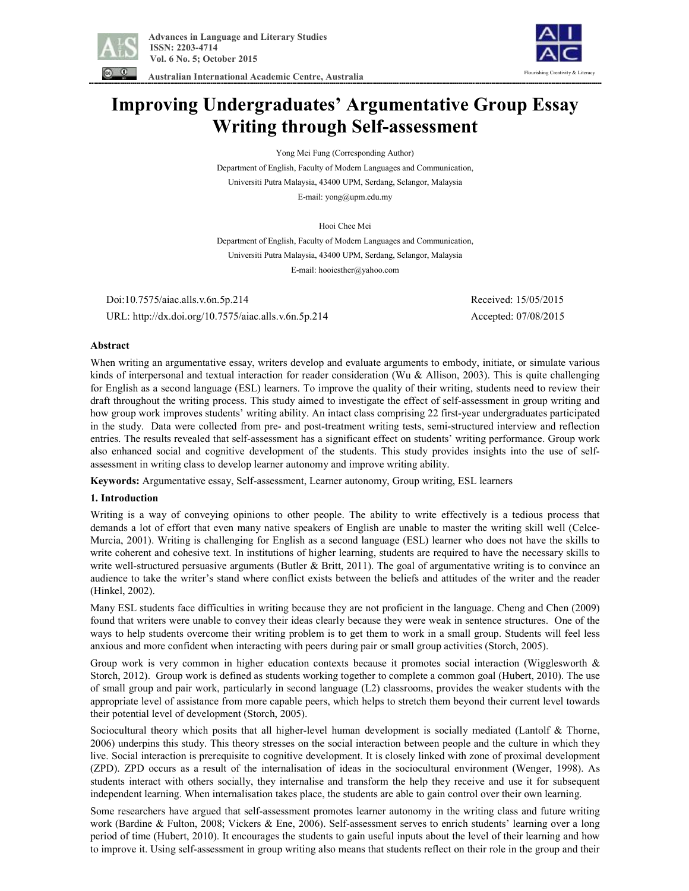

Flourishing Creativity & Literacy

 **Australian International Academic Centre, Australia** 

# **Improving Undergraduates' Argumentative Group Essay Writing through Self-assessment**

Yong Mei Fung (Corresponding Author)

Department of English, Faculty of Modern Languages and Communication, Universiti Putra Malaysia, 43400 UPM, Serdang, Selangor, Malaysia E-mail: yong@upm.edu.my

Hooi Chee Mei

Department of English, Faculty of Modern Languages and Communication, Universiti Putra Malaysia, 43400 UPM, Serdang, Selangor, Malaysia E-mail: hooiesther@yahoo.com

 Doi:10.7575/aiac.alls.v.6n.5p.214 Received: 15/05/2015 URL: http://dx.doi.org/10.7575/aiac.alls.v.6n.5p.214 Accepted: 07/08/2015

# **Abstract**

When writing an argumentative essay, writers develop and evaluate arguments to embody, initiate, or simulate various kinds of interpersonal and textual interaction for reader consideration (Wu & Allison, 2003). This is quite challenging for English as a second language (ESL) learners. To improve the quality of their writing, students need to review their draft throughout the writing process. This study aimed to investigate the effect of self-assessment in group writing and how group work improves students' writing ability. An intact class comprising 22 first-year undergraduates participated in the study. Data were collected from pre- and post-treatment writing tests, semi-structured interview and reflection entries. The results revealed that self-assessment has a significant effect on students' writing performance. Group work also enhanced social and cognitive development of the students. This study provides insights into the use of selfassessment in writing class to develop learner autonomy and improve writing ability.

**Keywords:** Argumentative essay, Self-assessment, Learner autonomy, Group writing, ESL learners

# **1. Introduction**

Writing is a way of conveying opinions to other people. The ability to write effectively is a tedious process that demands a lot of effort that even many native speakers of English are unable to master the writing skill well (Celce-Murcia, 2001). Writing is challenging for English as a second language (ESL) learner who does not have the skills to write coherent and cohesive text. In institutions of higher learning, students are required to have the necessary skills to write well-structured persuasive arguments (Butler & Britt, 2011). The goal of argumentative writing is to convince an audience to take the writer's stand where conflict exists between the beliefs and attitudes of the writer and the reader (Hinkel, 2002).

Many ESL students face difficulties in writing because they are not proficient in the language. Cheng and Chen (2009) found that writers were unable to convey their ideas clearly because they were weak in sentence structures. One of the ways to help students overcome their writing problem is to get them to work in a small group. Students will feel less anxious and more confident when interacting with peers during pair or small group activities (Storch, 2005).

Group work is very common in higher education contexts because it promotes social interaction (Wigglesworth & Storch, 2012). Group work is defined as students working together to complete a common goal (Hubert, 2010). The use of small group and pair work, particularly in second language (L2) classrooms, provides the weaker students with the appropriate level of assistance from more capable peers, which helps to stretch them beyond their current level towards their potential level of development (Storch, 2005).

Sociocultural theory which posits that all higher-level human development is socially mediated (Lantolf & Thorne, 2006) underpins this study. This theory stresses on the social interaction between people and the culture in which they live. Social interaction is prerequisite to cognitive development. It is closely linked with zone of proximal development (ZPD). ZPD occurs as a result of the internalisation of ideas in the sociocultural environment (Wenger, 1998). As students interact with others socially, they internalise and transform the help they receive and use it for subsequent independent learning. When internalisation takes place, the students are able to gain control over their own learning.

Some researchers have argued that self-assessment promotes learner autonomy in the writing class and future writing work (Bardine & Fulton, 2008; Vickers & Ene, 2006). Self-assessment serves to enrich students' learning over a long period of time (Hubert, 2010). It encourages the students to gain useful inputs about the level of their learning and how to improve it. Using self-assessment in group writing also means that students reflect on their role in the group and their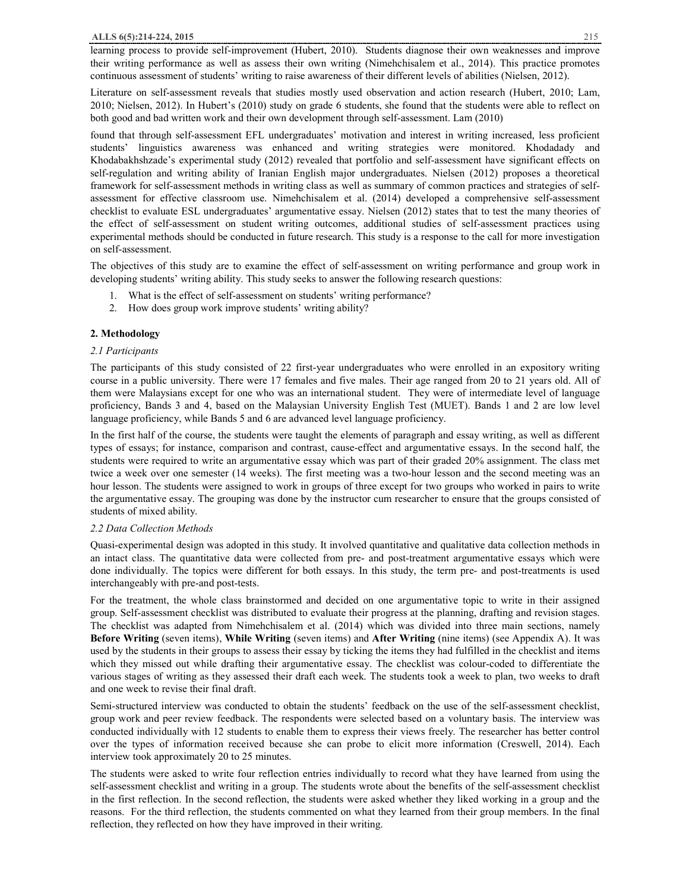learning process to provide self-improvement (Hubert, 2010). Students diagnose their own weaknesses and improve their writing performance as well as assess their own writing (Nimehchisalem et al., 2014). This practice promotes continuous assessment of students' writing to raise awareness of their different levels of abilities (Nielsen, 2012).

Literature on self-assessment reveals that studies mostly used observation and action research (Hubert, 2010; Lam, 2010; Nielsen, 2012). In Hubert's (2010) study on grade 6 students, she found that the students were able to reflect on both good and bad written work and their own development through self-assessment. Lam (2010)

found that through self-assessment EFL undergraduates' motivation and interest in writing increased, less proficient students' linguistics awareness was enhanced and writing strategies were monitored. Khodadady and Khodabakhshzade's experimental study (2012) revealed that portfolio and self-assessment have significant effects on self-regulation and writing ability of Iranian English major undergraduates. Nielsen (2012) proposes a theoretical framework for self-assessment methods in writing class as well as summary of common practices and strategies of selfassessment for effective classroom use. Nimehchisalem et al. (2014) developed a comprehensive self-assessment checklist to evaluate ESL undergraduates' argumentative essay. Nielsen (2012) states that to test the many theories of the effect of self-assessment on student writing outcomes, additional studies of self-assessment practices using experimental methods should be conducted in future research. This study is a response to the call for more investigation on self-assessment.

The objectives of this study are to examine the effect of self-assessment on writing performance and group work in developing students' writing ability. This study seeks to answer the following research questions:

- 1. What is the effect of self-assessment on students' writing performance?
- 2. How does group work improve students' writing ability?

# **2. Methodology**

# *2.1 Participants*

The participants of this study consisted of 22 first-year undergraduates who were enrolled in an expository writing course in a public university. There were 17 females and five males. Their age ranged from 20 to 21 years old. All of them were Malaysians except for one who was an international student. They were of intermediate level of language proficiency, Bands 3 and 4, based on the Malaysian University English Test (MUET). Bands 1 and 2 are low level language proficiency, while Bands 5 and 6 are advanced level language proficiency.

In the first half of the course, the students were taught the elements of paragraph and essay writing, as well as different types of essays; for instance, comparison and contrast, cause-effect and argumentative essays. In the second half, the students were required to write an argumentative essay which was part of their graded 20% assignment. The class met twice a week over one semester (14 weeks). The first meeting was a two-hour lesson and the second meeting was an hour lesson. The students were assigned to work in groups of three except for two groups who worked in pairs to write the argumentative essay. The grouping was done by the instructor cum researcher to ensure that the groups consisted of students of mixed ability.

#### *2.2 Data Collection Methods*

Quasi-experimental design was adopted in this study. It involved quantitative and qualitative data collection methods in an intact class. The quantitative data were collected from pre- and post-treatment argumentative essays which were done individually. The topics were different for both essays. In this study, the term pre- and post-treatments is used interchangeably with pre-and post-tests.

For the treatment, the whole class brainstormed and decided on one argumentative topic to write in their assigned group. Self-assessment checklist was distributed to evaluate their progress at the planning, drafting and revision stages. The checklist was adapted from Nimehchisalem et al. (2014) which was divided into three main sections, namely **Before Writing** (seven items), **While Writing** (seven items) and **After Writing** (nine items) (see Appendix A). It was used by the students in their groups to assess their essay by ticking the items they had fulfilled in the checklist and items which they missed out while drafting their argumentative essay. The checklist was colour-coded to differentiate the various stages of writing as they assessed their draft each week. The students took a week to plan, two weeks to draft and one week to revise their final draft.

Semi-structured interview was conducted to obtain the students' feedback on the use of the self-assessment checklist, group work and peer review feedback. The respondents were selected based on a voluntary basis. The interview was conducted individually with 12 students to enable them to express their views freely. The researcher has better control over the types of information received because she can probe to elicit more information (Creswell, 2014). Each interview took approximately 20 to 25 minutes.

The students were asked to write four reflection entries individually to record what they have learned from using the self-assessment checklist and writing in a group. The students wrote about the benefits of the self-assessment checklist in the first reflection. In the second reflection, the students were asked whether they liked working in a group and the reasons. For the third reflection, the students commented on what they learned from their group members. In the final reflection, they reflected on how they have improved in their writing.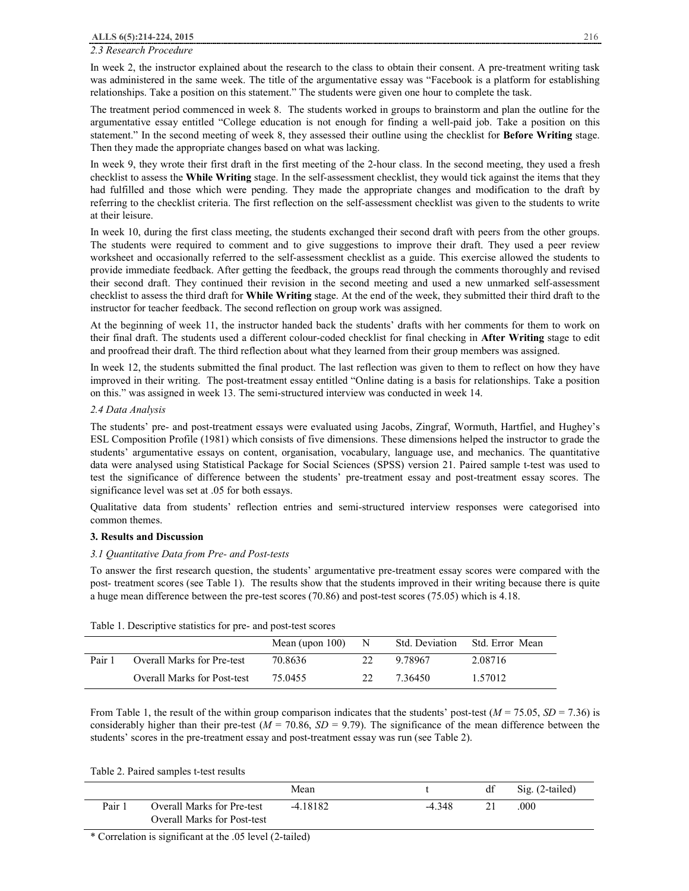# *2.3 Research Procedure*

In week 2, the instructor explained about the research to the class to obtain their consent. A pre-treatment writing task was administered in the same week. The title of the argumentative essay was "Facebook is a platform for establishing relationships. Take a position on this statement." The students were given one hour to complete the task.

The treatment period commenced in week 8. The students worked in groups to brainstorm and plan the outline for the argumentative essay entitled "College education is not enough for finding a well-paid job. Take a position on this statement." In the second meeting of week 8, they assessed their outline using the checklist for **Before Writing** stage. Then they made the appropriate changes based on what was lacking.

In week 9, they wrote their first draft in the first meeting of the 2-hour class. In the second meeting, they used a fresh checklist to assess the **While Writing** stage. In the self-assessment checklist, they would tick against the items that they had fulfilled and those which were pending. They made the appropriate changes and modification to the draft by referring to the checklist criteria. The first reflection on the self-assessment checklist was given to the students to write at their leisure.

In week 10, during the first class meeting, the students exchanged their second draft with peers from the other groups. The students were required to comment and to give suggestions to improve their draft. They used a peer review worksheet and occasionally referred to the self-assessment checklist as a guide. This exercise allowed the students to provide immediate feedback. After getting the feedback, the groups read through the comments thoroughly and revised their second draft. They continued their revision in the second meeting and used a new unmarked self-assessment checklist to assess the third draft for **While Writing** stage. At the end of the week, they submitted their third draft to the instructor for teacher feedback. The second reflection on group work was assigned.

At the beginning of week 11, the instructor handed back the students' drafts with her comments for them to work on their final draft. The students used a different colour-coded checklist for final checking in **After Writing** stage to edit and proofread their draft. The third reflection about what they learned from their group members was assigned.

In week 12, the students submitted the final product. The last reflection was given to them to reflect on how they have improved in their writing. The post-treatment essay entitled "Online dating is a basis for relationships. Take a position on this." was assigned in week 13. The semi-structured interview was conducted in week 14.

# *2.4 Data Analysis*

The students' pre- and post-treatment essays were evaluated using Jacobs, Zingraf, Wormuth, Hartfiel, and Hughey's ESL Composition Profile (1981) which consists of five dimensions. These dimensions helped the instructor to grade the students' argumentative essays on content, organisation, vocabulary, language use, and mechanics. The quantitative data were analysed using Statistical Package for Social Sciences (SPSS) version 21. Paired sample t-test was used to test the significance of difference between the students' pre-treatment essay and post-treatment essay scores. The significance level was set at .05 for both essays.

Qualitative data from students' reflection entries and semi-structured interview responses were categorised into common themes.

# **3. Results and Discussion**

# *3.1 Quantitative Data from Pre- and Post-tests*

To answer the first research question, the students' argumentative pre-treatment essay scores were compared with the post- treatment scores (see Table 1). The results show that the students improved in their writing because there is quite a huge mean difference between the pre-test scores (70.86) and post-test scores (75.05) which is 4.18.

| Tuble 1. Descriptive statistics for pre- and post-test secres |                                    |                    |    |                |                 |  |  |
|---------------------------------------------------------------|------------------------------------|--------------------|----|----------------|-----------------|--|--|
|                                                               |                                    | Mean (upon $100$ ) | N  | Std. Deviation | Std. Error Mean |  |  |
| Pair 1                                                        | <b>Overall Marks for Pre-test</b>  | 70.8636            | 22 | 9.78967        | 2.08716         |  |  |
|                                                               | <b>Overall Marks for Post-test</b> | 75.0455            | 22 | 7.36450        | 1.57012         |  |  |

Table 1. Descriptive statistics for pre- and post-test scores

From Table 1, the result of the within group comparison indicates that the students' post-test  $(M = 75.05, SD = 7.36)$  is considerably higher than their pre-test  $(M = 70.86, SD = 9.79)$ . The significance of the mean difference between the students' scores in the pre-treatment essay and post-treatment essay was run (see Table 2).

Table 2. Paired samples t-test results

|        |                                                                         | Mean       |          | df | Sig. (2-tailed) |
|--------|-------------------------------------------------------------------------|------------|----------|----|-----------------|
| Pair 1 | <b>Overall Marks for Pre-test</b><br><b>Overall Marks for Post-test</b> | $-4.18182$ | $-4.348$ |    | .000            |

\* Correlation is significant at the .05 level (2-tailed)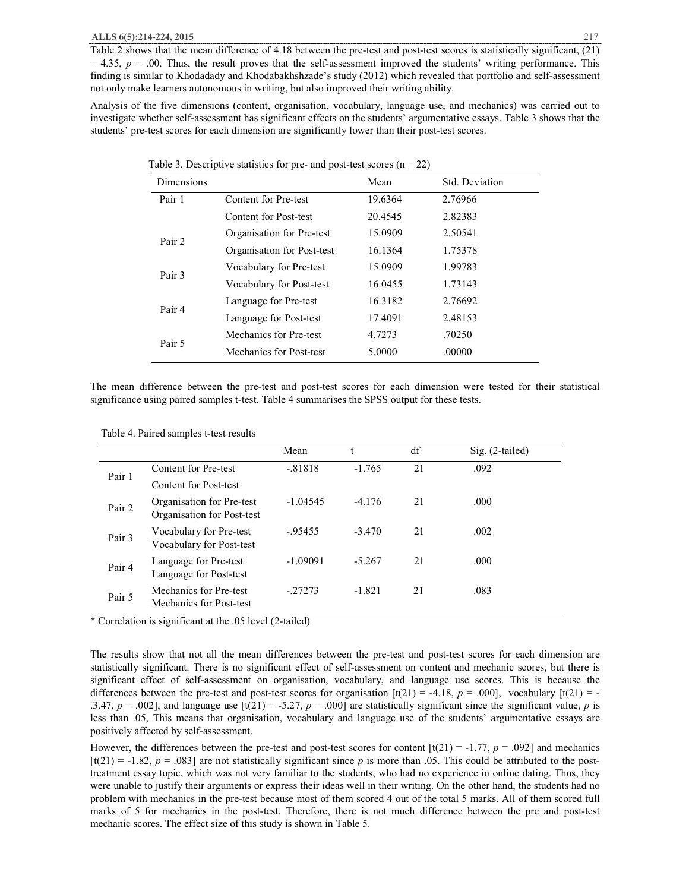Table 2 shows that the mean difference of 4.18 between the pre-test and post-test scores is statistically significant, (21)  $= 4.35$ ,  $p = .00$ . Thus, the result proves that the self-assessment improved the students' writing performance. This finding is similar to Khodadady and Khodabakhshzade's study (2012) which revealed that portfolio and self-assessment not only make learners autonomous in writing, but also improved their writing ability.

Analysis of the five dimensions (content, organisation, vocabulary, language use, and mechanics) was carried out to investigate whether self-assessment has significant effects on the students' argumentative essays. Table 3 shows that the students' pre-test scores for each dimension are significantly lower than their post-test scores.

| <b>Dimensions</b> |                            | Mean    | Std. Deviation |
|-------------------|----------------------------|---------|----------------|
| Pair 1            | Content for Pre-test       | 19.6364 | 2.76966        |
|                   | Content for Post-test      | 20.4545 | 2.82383        |
| Pair 2            | Organisation for Pre-test  | 15.0909 | 2.50541        |
|                   | Organisation for Post-test | 16.1364 | 1.75378        |
| Pair 3            | Vocabulary for Pre-test    | 15.0909 | 1.99783        |
|                   | Vocabulary for Post-test   | 16.0455 | 1.73143        |
| Pair 4            | Language for Pre-test      | 16.3182 | 2.76692        |
|                   | Language for Post-test     | 17.4091 | 2.48153        |
| Pair 5            | Mechanics for Pre-test     | 4.7273  | .70250         |
|                   | Mechanics for Post-test    | 5.0000  | .00000         |

Table 3. Descriptive statistics for pre- and post-test scores ( $n = 22$ )

The mean difference between the pre-test and post-test scores for each dimension were tested for their statistical significance using paired samples t-test. Table 4 summarises the SPSS output for these tests.

|        |                                                         | Mean       |          | df | $Sig. (2-tailed)$ |
|--------|---------------------------------------------------------|------------|----------|----|-------------------|
| Pair 1 | Content for Pre-test                                    | $-.81818$  | $-1.765$ | 21 | .092              |
|        | Content for Post-test                                   |            |          |    |                   |
| Pair 2 | Organisation for Pre-test<br>Organisation for Post-test | $-1.04545$ | $-4.176$ | 21 | .000              |
| Pair 3 | Vocabulary for Pre-test<br>Vocabulary for Post-test     | $-95455$   | $-3.470$ | 21 | .002              |
| Pair 4 | Language for Pre-test<br>Language for Post-test         | $-1.09091$ | $-5.267$ | 21 | .000              |
| Pair 5 | Mechanics for Pre-test<br>Mechanics for Post-test       | $-.27273$  | $-1.821$ | 21 | .083              |

\* Correlation is significant at the .05 level (2-tailed)

The results show that not all the mean differences between the pre-test and post-test scores for each dimension are statistically significant. There is no significant effect of self-assessment on content and mechanic scores, but there is significant effect of self-assessment on organisation, vocabulary, and language use scores. This is because the differences between the pre-test and post-test scores for organisation  $[t(21) = -4.18, p = .000]$ , vocabulary  $[t(21) = -4.18, p = .000]$ .3.47,  $p = .002$ ], and language use  $[t(21) = .5.27, p = .000]$  are statistically significant since the significant value, *p* is less than .05, This means that organisation, vocabulary and language use of the students' argumentative essays are positively affected by self-assessment.

However, the differences between the pre-test and post-test scores for content  $\left[\frac{t(21)}{=} -1.77, p = .092\right]$  and mechanics  $[t(21) = -1.82, p = .083]$  are not statistically significant since p is more than .05. This could be attributed to the posttreatment essay topic, which was not very familiar to the students, who had no experience in online dating. Thus, they were unable to justify their arguments or express their ideas well in their writing. On the other hand, the students had no problem with mechanics in the pre-test because most of them scored 4 out of the total 5 marks. All of them scored full marks of 5 for mechanics in the post-test. Therefore, there is not much difference between the pre and post-test mechanic scores. The effect size of this study is shown in Table 5.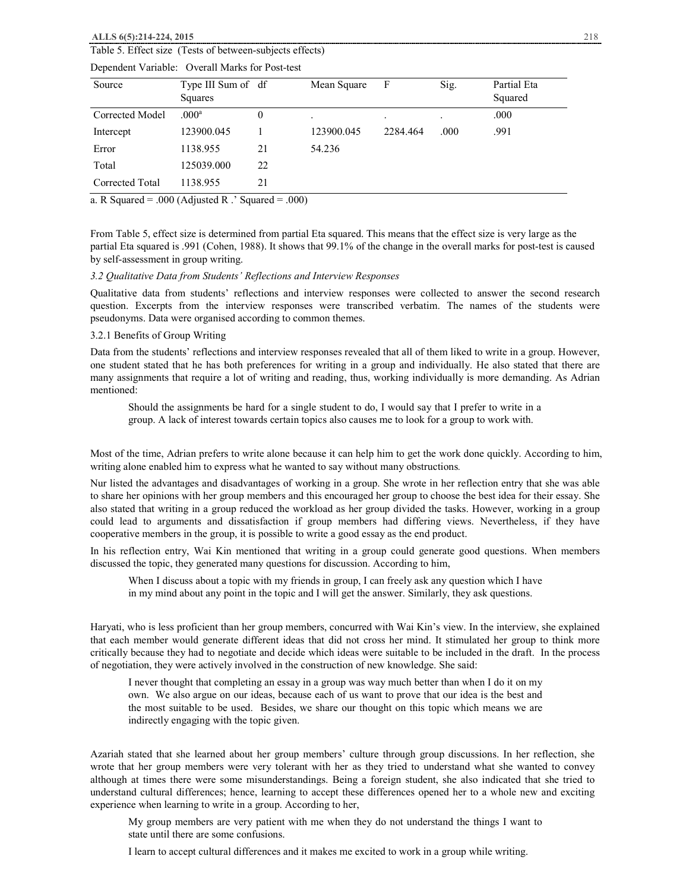#### **ALLS 6(5):214-224, 2015** 218

# Table 5. Effect size (Tests of between-subjects effects)

| Source          | Type III Sum of df<br>Squares |                | Mean Square | F        | Sig. | Partial Eta<br>Squared |
|-----------------|-------------------------------|----------------|-------------|----------|------|------------------------|
| Corrected Model | $.000$ <sup>a</sup>           | $\overline{0}$ |             |          |      | .000                   |
| Intercept       | 123900.045                    |                | 123900.045  | 2284.464 | .000 | .991                   |
| Error           | 1138.955                      | 21             | 54.236      |          |      |                        |
| Total           | 125039.000                    | 22             |             |          |      |                        |
| Corrected Total | 1138.955                      | 21             |             |          |      |                        |

# Dependent Variable: Overall Marks for Post-test

a. R Squared = .000 (Adjusted R  $\cdot$  Squared = .000)

From Table 5, effect size is determined from partial Eta squared. This means that the effect size is very large as the partial Eta squared is .991 (Cohen, 1988). It shows that 99.1% of the change in the overall marks for post-test is caused by self-assessment in group writing.

# *3.2 Qualitative Data from Students' Reflections and Interview Responses*

Qualitative data from students' reflections and interview responses were collected to answer the second research question. Excerpts from the interview responses were transcribed verbatim. The names of the students were pseudonyms. Data were organised according to common themes.

# 3.2.1 Benefits of Group Writing

Data from the students' reflections and interview responses revealed that all of them liked to write in a group. However, one student stated that he has both preferences for writing in a group and individually. He also stated that there are many assignments that require a lot of writing and reading, thus, working individually is more demanding. As Adrian mentioned:

Should the assignments be hard for a single student to do, I would say that I prefer to write in a group. A lack of interest towards certain topics also causes me to look for a group to work with.

Most of the time, Adrian prefers to write alone because it can help him to get the work done quickly. According to him, writing alone enabled him to express what he wanted to say without many obstructions*.*

Nur listed the advantages and disadvantages of working in a group. She wrote in her reflection entry that she was able to share her opinions with her group members and this encouraged her group to choose the best idea for their essay. She also stated that writing in a group reduced the workload as her group divided the tasks. However, working in a group could lead to arguments and dissatisfaction if group members had differing views. Nevertheless, if they have cooperative members in the group, it is possible to write a good essay as the end product.

In his reflection entry, Wai Kin mentioned that writing in a group could generate good questions. When members discussed the topic, they generated many questions for discussion. According to him,

When I discuss about a topic with my friends in group, I can freely ask any question which I have in my mind about any point in the topic and I will get the answer. Similarly, they ask questions.

Haryati, who is less proficient than her group members, concurred with Wai Kin's view. In the interview, she explained that each member would generate different ideas that did not cross her mind. It stimulated her group to think more critically because they had to negotiate and decide which ideas were suitable to be included in the draft. In the process of negotiation, they were actively involved in the construction of new knowledge. She said:

I never thought that completing an essay in a group was way much better than when I do it on my own. We also argue on our ideas, because each of us want to prove that our idea is the best and the most suitable to be used. Besides, we share our thought on this topic which means we are indirectly engaging with the topic given.

Azariah stated that she learned about her group members' culture through group discussions. In her reflection, she wrote that her group members were very tolerant with her as they tried to understand what she wanted to convey although at times there were some misunderstandings. Being a foreign student, she also indicated that she tried to understand cultural differences; hence, learning to accept these differences opened her to a whole new and exciting experience when learning to write in a group. According to her,

My group members are very patient with me when they do not understand the things I want to state until there are some confusions.

I learn to accept cultural differences and it makes me excited to work in a group while writing.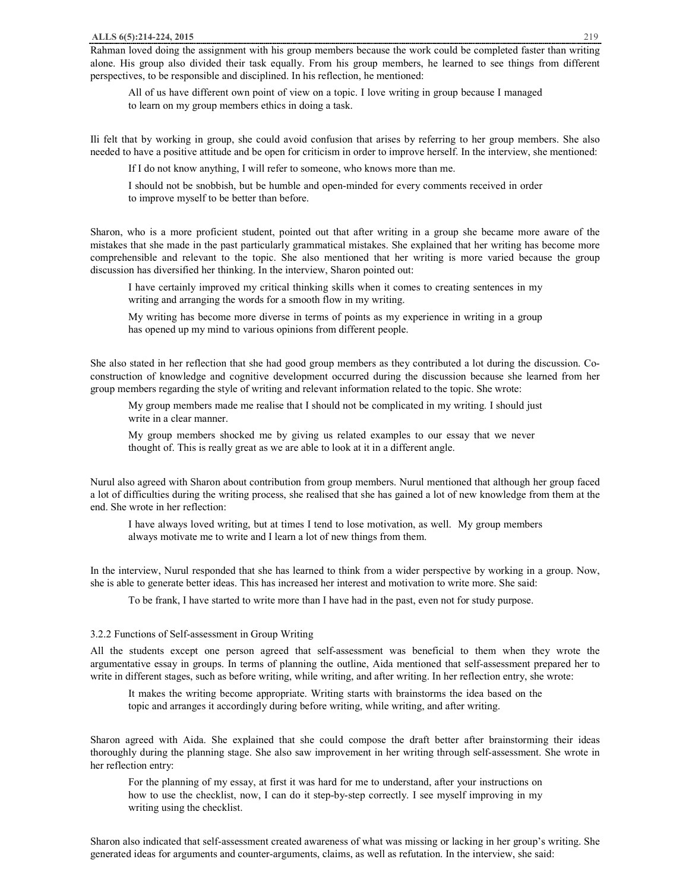Rahman loved doing the assignment with his group members because the work could be completed faster than writing alone. His group also divided their task equally. From his group members, he learned to see things from different perspectives, to be responsible and disciplined. In his reflection, he mentioned:

All of us have different own point of view on a topic. I love writing in group because I managed to learn on my group members ethics in doing a task.

Ili felt that by working in group, she could avoid confusion that arises by referring to her group members. She also needed to have a positive attitude and be open for criticism in order to improve herself. In the interview, she mentioned:

If I do not know anything, I will refer to someone, who knows more than me.

I should not be snobbish, but be humble and open-minded for every comments received in order to improve myself to be better than before.

Sharon, who is a more proficient student, pointed out that after writing in a group she became more aware of the mistakes that she made in the past particularly grammatical mistakes. She explained that her writing has become more comprehensible and relevant to the topic. She also mentioned that her writing is more varied because the group discussion has diversified her thinking. In the interview, Sharon pointed out:

I have certainly improved my critical thinking skills when it comes to creating sentences in my writing and arranging the words for a smooth flow in my writing.

My writing has become more diverse in terms of points as my experience in writing in a group has opened up my mind to various opinions from different people.

She also stated in her reflection that she had good group members as they contributed a lot during the discussion. Coconstruction of knowledge and cognitive development occurred during the discussion because she learned from her group members regarding the style of writing and relevant information related to the topic. She wrote:

My group members made me realise that I should not be complicated in my writing. I should just write in a clear manner.

My group members shocked me by giving us related examples to our essay that we never thought of. This is really great as we are able to look at it in a different angle.

Nurul also agreed with Sharon about contribution from group members. Nurul mentioned that although her group faced a lot of difficulties during the writing process, she realised that she has gained a lot of new knowledge from them at the end. She wrote in her reflection:

I have always loved writing, but at times I tend to lose motivation, as well. My group members always motivate me to write and I learn a lot of new things from them.

In the interview, Nurul responded that she has learned to think from a wider perspective by working in a group. Now, she is able to generate better ideas. This has increased her interest and motivation to write more. She said:

To be frank, I have started to write more than I have had in the past, even not for study purpose.

#### 3.2.2 Functions of Self-assessment in Group Writing

All the students except one person agreed that self-assessment was beneficial to them when they wrote the argumentative essay in groups. In terms of planning the outline, Aida mentioned that self-assessment prepared her to write in different stages, such as before writing, while writing, and after writing. In her reflection entry, she wrote:

It makes the writing become appropriate. Writing starts with brainstorms the idea based on the topic and arranges it accordingly during before writing, while writing, and after writing.

Sharon agreed with Aida. She explained that she could compose the draft better after brainstorming their ideas thoroughly during the planning stage. She also saw improvement in her writing through self-assessment. She wrote in her reflection entry:

For the planning of my essay, at first it was hard for me to understand, after your instructions on how to use the checklist, now, I can do it step-by-step correctly. I see myself improving in my writing using the checklist.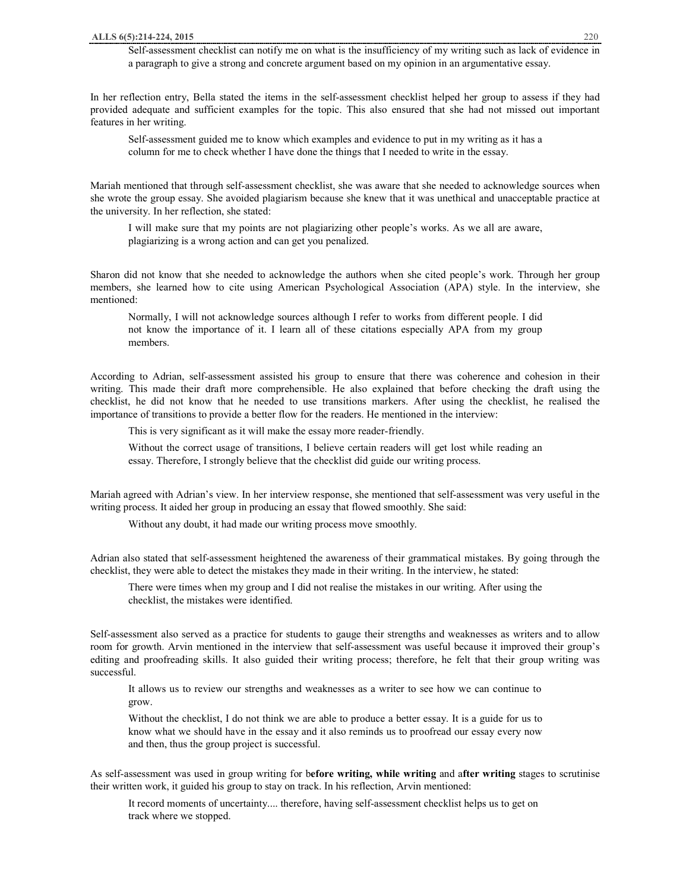Self-assessment checklist can notify me on what is the insufficiency of my writing such as lack of evidence in a paragraph to give a strong and concrete argument based on my opinion in an argumentative essay.

In her reflection entry, Bella stated the items in the self-assessment checklist helped her group to assess if they had provided adequate and sufficient examples for the topic. This also ensured that she had not missed out important features in her writing.

Self-assessment guided me to know which examples and evidence to put in my writing as it has a column for me to check whether I have done the things that I needed to write in the essay.

Mariah mentioned that through self-assessment checklist, she was aware that she needed to acknowledge sources when she wrote the group essay. She avoided plagiarism because she knew that it was unethical and unacceptable practice at the university. In her reflection, she stated:

I will make sure that my points are not plagiarizing other people's works. As we all are aware, plagiarizing is a wrong action and can get you penalized.

Sharon did not know that she needed to acknowledge the authors when she cited people's work. Through her group members, she learned how to cite using American Psychological Association (APA) style. In the interview, she mentioned:

Normally, I will not acknowledge sources although I refer to works from different people. I did not know the importance of it. I learn all of these citations especially APA from my group members.

According to Adrian, self-assessment assisted his group to ensure that there was coherence and cohesion in their writing. This made their draft more comprehensible. He also explained that before checking the draft using the checklist, he did not know that he needed to use transitions markers. After using the checklist, he realised the importance of transitions to provide a better flow for the readers. He mentioned in the interview:

This is very significant as it will make the essay more reader-friendly.

Without the correct usage of transitions, I believe certain readers will get lost while reading an essay. Therefore, I strongly believe that the checklist did guide our writing process.

Mariah agreed with Adrian's view. In her interview response, she mentioned that self-assessment was very useful in the writing process. It aided her group in producing an essay that flowed smoothly. She said:

Without any doubt, it had made our writing process move smoothly.

Adrian also stated that self-assessment heightened the awareness of their grammatical mistakes. By going through the checklist, they were able to detect the mistakes they made in their writing. In the interview, he stated:

There were times when my group and I did not realise the mistakes in our writing. After using the checklist, the mistakes were identified.

Self-assessment also served as a practice for students to gauge their strengths and weaknesses as writers and to allow room for growth. Arvin mentioned in the interview that self-assessment was useful because it improved their group's editing and proofreading skills. It also guided their writing process; therefore, he felt that their group writing was successful.

It allows us to review our strengths and weaknesses as a writer to see how we can continue to grow.

Without the checklist, I do not think we are able to produce a better essay. It is a guide for us to know what we should have in the essay and it also reminds us to proofread our essay every now and then, thus the group project is successful.

As self-assessment was used in group writing for b**efore writing, while writing** and a**fter writing** stages to scrutinise their written work, it guided his group to stay on track. In his reflection, Arvin mentioned:

It record moments of uncertainty.... therefore, having self-assessment checklist helps us to get on track where we stopped.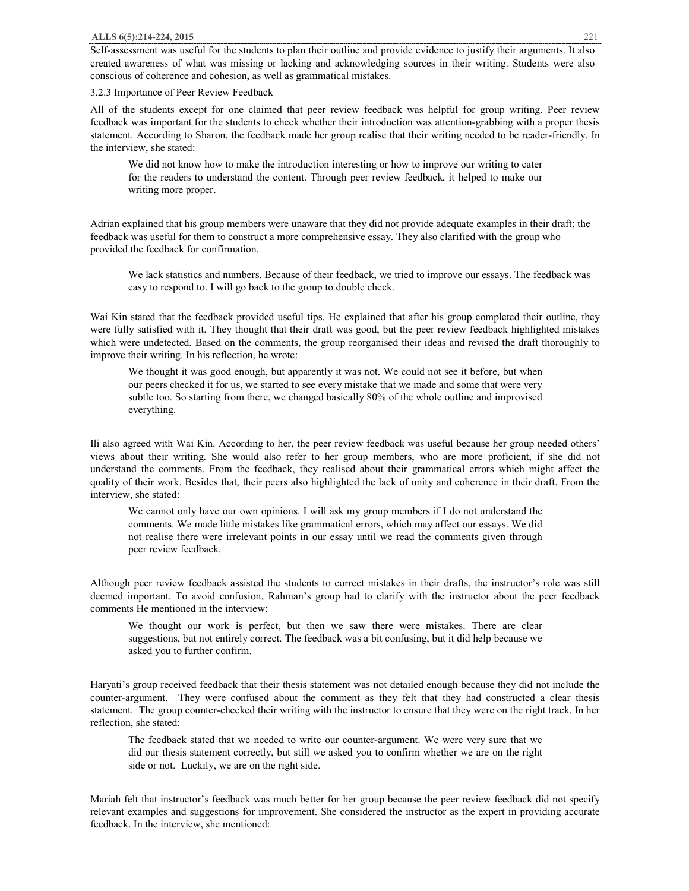Self-assessment was useful for the students to plan their outline and provide evidence to justify their arguments. It also created awareness of what was missing or lacking and acknowledging sources in their writing. Students were also conscious of coherence and cohesion, as well as grammatical mistakes.

3.2.3 Importance of Peer Review Feedback

All of the students except for one claimed that peer review feedback was helpful for group writing. Peer review feedback was important for the students to check whether their introduction was attention-grabbing with a proper thesis statement. According to Sharon, the feedback made her group realise that their writing needed to be reader-friendly. In the interview, she stated:

We did not know how to make the introduction interesting or how to improve our writing to cater for the readers to understand the content. Through peer review feedback, it helped to make our writing more proper.

Adrian explained that his group members were unaware that they did not provide adequate examples in their draft; the feedback was useful for them to construct a more comprehensive essay. They also clarified with the group who provided the feedback for confirmation.

We lack statistics and numbers. Because of their feedback, we tried to improve our essays. The feedback was easy to respond to. I will go back to the group to double check.

Wai Kin stated that the feedback provided useful tips. He explained that after his group completed their outline, they were fully satisfied with it. They thought that their draft was good, but the peer review feedback highlighted mistakes which were undetected. Based on the comments, the group reorganised their ideas and revised the draft thoroughly to improve their writing. In his reflection, he wrote:

We thought it was good enough, but apparently it was not. We could not see it before, but when our peers checked it for us, we started to see every mistake that we made and some that were very subtle too. So starting from there, we changed basically 80% of the whole outline and improvised everything.

Ili also agreed with Wai Kin. According to her, the peer review feedback was useful because her group needed others' views about their writing. She would also refer to her group members, who are more proficient, if she did not understand the comments. From the feedback, they realised about their grammatical errors which might affect the quality of their work. Besides that, their peers also highlighted the lack of unity and coherence in their draft. From the interview, she stated:

We cannot only have our own opinions. I will ask my group members if I do not understand the comments. We made little mistakes like grammatical errors, which may affect our essays. We did not realise there were irrelevant points in our essay until we read the comments given through peer review feedback.

Although peer review feedback assisted the students to correct mistakes in their drafts, the instructor's role was still deemed important. To avoid confusion, Rahman's group had to clarify with the instructor about the peer feedback comments He mentioned in the interview:

We thought our work is perfect, but then we saw there were mistakes. There are clear suggestions, but not entirely correct. The feedback was a bit confusing, but it did help because we asked you to further confirm.

Haryati's group received feedback that their thesis statement was not detailed enough because they did not include the counter-argument. They were confused about the comment as they felt that they had constructed a clear thesis statement. The group counter-checked their writing with the instructor to ensure that they were on the right track. In her reflection, she stated:

The feedback stated that we needed to write our counter-argument. We were very sure that we did our thesis statement correctly, but still we asked you to confirm whether we are on the right side or not. Luckily, we are on the right side.

Mariah felt that instructor's feedback was much better for her group because the peer review feedback did not specify relevant examples and suggestions for improvement. She considered the instructor as the expert in providing accurate feedback. In the interview, she mentioned: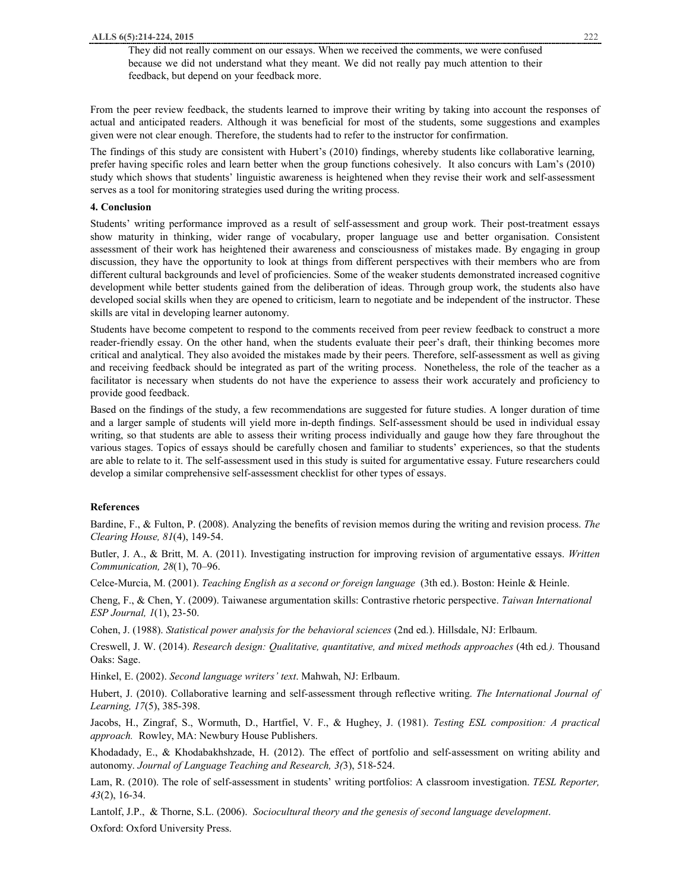They did not really comment on our essays. When we received the comments, we were confused because we did not understand what they meant. We did not really pay much attention to their feedback, but depend on your feedback more.

From the peer review feedback, the students learned to improve their writing by taking into account the responses of actual and anticipated readers. Although it was beneficial for most of the students, some suggestions and examples given were not clear enough. Therefore, the students had to refer to the instructor for confirmation.

The findings of this study are consistent with Hubert's (2010) findings, whereby students like collaborative learning, prefer having specific roles and learn better when the group functions cohesively. It also concurs with Lam's (2010) study which shows that students' linguistic awareness is heightened when they revise their work and self-assessment serves as a tool for monitoring strategies used during the writing process.

#### **4. Conclusion**

Students' writing performance improved as a result of self-assessment and group work. Their post-treatment essays show maturity in thinking, wider range of vocabulary, proper language use and better organisation. Consistent assessment of their work has heightened their awareness and consciousness of mistakes made. By engaging in group discussion, they have the opportunity to look at things from different perspectives with their members who are from different cultural backgrounds and level of proficiencies. Some of the weaker students demonstrated increased cognitive development while better students gained from the deliberation of ideas. Through group work, the students also have developed social skills when they are opened to criticism, learn to negotiate and be independent of the instructor. These skills are vital in developing learner autonomy.

Students have become competent to respond to the comments received from peer review feedback to construct a more reader-friendly essay. On the other hand, when the students evaluate their peer's draft, their thinking becomes more critical and analytical. They also avoided the mistakes made by their peers. Therefore, self-assessment as well as giving and receiving feedback should be integrated as part of the writing process. Nonetheless, the role of the teacher as a facilitator is necessary when students do not have the experience to assess their work accurately and proficiency to provide good feedback.

Based on the findings of the study, a few recommendations are suggested for future studies. A longer duration of time and a larger sample of students will yield more in-depth findings. Self-assessment should be used in individual essay writing, so that students are able to assess their writing process individually and gauge how they fare throughout the various stages. Topics of essays should be carefully chosen and familiar to students' experiences, so that the students are able to relate to it. The self-assessment used in this study is suited for argumentative essay. Future researchers could develop a similar comprehensive self-assessment checklist for other types of essays.

# **References**

Bardine, F., & Fulton, P. (2008). Analyzing the benefits of revision memos during the writing and revision process. *The Clearing House, 81*(4), 149-54.

Butler, J. A., & Britt, M. A. (2011). Investigating instruction for improving revision of argumentative essays. *Written Communication, 28*(1), 70–96.

Celce-Murcia, M. (2001). *Teaching English as a second or foreign language* (3th ed.). Boston: Heinle & Heinle.

Cheng, F., & Chen, Y. (2009). Taiwanese argumentation skills: Contrastive rhetoric perspective. *Taiwan International ESP Journal, 1*(1), 23-50.

Cohen, J. (1988). *Statistical power analysis for the behavioral sciences* (2nd ed.). Hillsdale, NJ: Erlbaum.

Creswell, J. W. (2014). *Research design: Qualitative, quantitative, and mixed methods approaches* (4th ed*.).* Thousand Oaks: Sage.

Hinkel, E. (2002). *Second language writers' text*. Mahwah, NJ: Erlbaum.

Hubert, J. (2010). Collaborative learning and self-assessment through reflective writing. *The International Journal of Learning, 17*(5), 385-398.

Jacobs, H., Zingraf, S., Wormuth, D., Hartfiel, V. F., & Hughey, J. (1981). *Testing ESL composition: A practical approach.* Rowley, MA: Newbury House Publishers.

Khodadady, E., & Khodabakhshzade, H. (2012). The effect of portfolio and self-assessment on writing ability and autonomy. *Journal of Language Teaching and Research, 3(*3), 518-524.

Lam, R. (2010). The role of self-assessment in students' writing portfolios: A classroom investigation. *TESL Reporter, 43*(2), 16-34.

Lantolf, J.P., & Thorne, S.L. (2006). *Sociocultural theory and the genesis of second language development*. Oxford: Oxford University Press.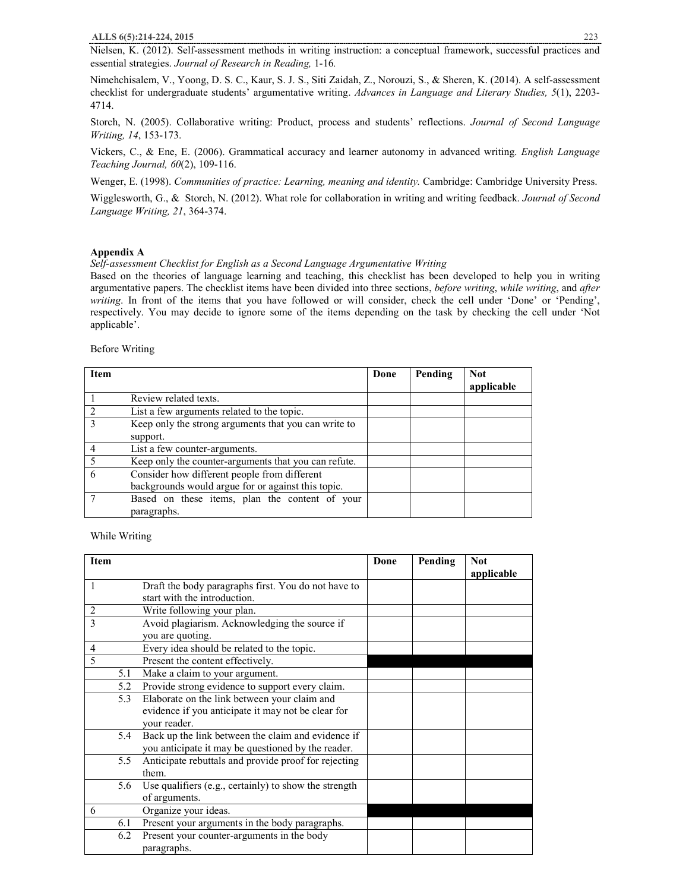Nielsen, K. (2012). Self-assessment methods in writing instruction: a conceptual framework, successful practices and essential strategies. *Journal of Research in Reading,* 1-16*.*

Nimehchisalem, V., Yoong, D. S. C., Kaur, S. J. S., Siti Zaidah, Z., Norouzi, S., & Sheren, K. (2014). A self-assessment checklist for undergraduate students' argumentative writing. *Advances in Language and Literary Studies, 5*(1), 2203- 4714.

Storch, N. (2005). Collaborative writing: Product, process and students' reflections. *Journal of Second Language Writing, 14*, 153-173.

Vickers, C., & Ene, E. (2006). Grammatical accuracy and learner autonomy in advanced writing. *English Language Teaching Journal, 60*(2), 109-116.

Wenger, E. (1998). *Communities of practice: Learning, meaning and identity.* Cambridge: Cambridge University Press.

Wigglesworth, G., & Storch, N. (2012). What role for collaboration in writing and writing feedback. *Journal of Second Language Writing, 21*, 364-374.

# **Appendix A**

*Self-assessment Checklist for English as a Second Language Argumentative Writing* 

Based on the theories of language learning and teaching, this checklist has been developed to help you in writing argumentative papers. The checklist items have been divided into three sections, *before writing*, *while writing*, and *after writing*. In front of the items that you have followed or will consider, check the cell under 'Done' or 'Pending', respectively. You may decide to ignore some of the items depending on the task by checking the cell under 'Not applicable'.

Before Writing

| <b>Item</b>   |                                                      | Done | Pending | <b>Not</b><br>applicable |
|---------------|------------------------------------------------------|------|---------|--------------------------|
|               | Review related texts.                                |      |         |                          |
|               | List a few arguments related to the topic.           |      |         |                          |
| $\mathcal{R}$ | Keep only the strong arguments that you can write to |      |         |                          |
|               | support.                                             |      |         |                          |
|               | List a few counter-arguments.                        |      |         |                          |
| -5            | Keep only the counter-arguments that you can refute. |      |         |                          |
| 6             | Consider how different people from different         |      |         |                          |
|               | backgrounds would argue for or against this topic.   |      |         |                          |
|               | Based on these items, plan the content of your       |      |         |                          |
|               | paragraphs.                                          |      |         |                          |

While Writing

| <b>Item</b>    |                                                       | Done | Pending | <b>Not</b> |
|----------------|-------------------------------------------------------|------|---------|------------|
|                |                                                       |      |         | applicable |
| 1              | Draft the body paragraphs first. You do not have to   |      |         |            |
|                | start with the introduction.                          |      |         |            |
| $\overline{2}$ | Write following your plan.                            |      |         |            |
| 3              | Avoid plagiarism. Acknowledging the source if         |      |         |            |
|                | you are quoting.                                      |      |         |            |
| 4              | Every idea should be related to the topic.            |      |         |            |
| 5              | Present the content effectively.                      |      |         |            |
| 5.1            | Make a claim to your argument.                        |      |         |            |
| 5.2            | Provide strong evidence to support every claim.       |      |         |            |
| 5.3            | Elaborate on the link between your claim and          |      |         |            |
|                | evidence if you anticipate it may not be clear for    |      |         |            |
|                | your reader.                                          |      |         |            |
| 5.4            | Back up the link between the claim and evidence if    |      |         |            |
|                | you anticipate it may be questioned by the reader.    |      |         |            |
| 5.5            | Anticipate rebuttals and provide proof for rejecting  |      |         |            |
|                | them.                                                 |      |         |            |
| 5.6            | Use qualifiers (e.g., certainly) to show the strength |      |         |            |
|                | of arguments.                                         |      |         |            |
| 6              | Organize your ideas.                                  |      |         |            |
| 6.1            | Present your arguments in the body paragraphs.        |      |         |            |
| 6.2            | Present your counter-arguments in the body            |      |         |            |
|                | paragraphs.                                           |      |         |            |